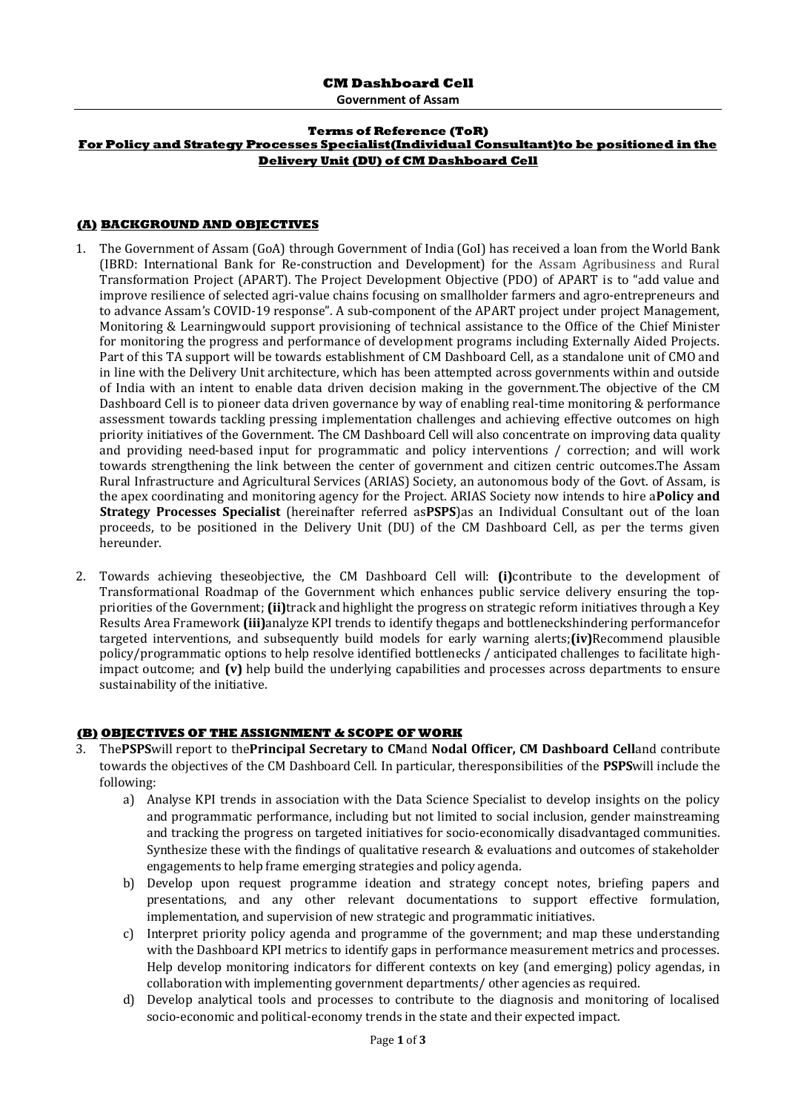**Government of Assam**

#### **Terms of Reference (ToR) For Policy and Strategy Processes Specialist(Individual Consultant)to be positioned in the Delivery Unit (DU) of CM Dashboard Cell**

#### **(A) BACKGROUND AND OBJECTIVES**

- 1. The Government of Assam (GoA) through Government of India (GoI) has received a loan from the World Bank (IBRD: International Bank for Re-construction and Development) for the Assam Agribusiness and Rural Transformation Project (APART). The Project Development Objective (PDO) of APART is to "add value and improve resilience of selected agri-value chains focusing on smallholder farmers and agro-entrepreneurs and to advance Assam's COVID-19 response". A sub-component of the APART project under project Management, Monitoring & Learningwould support provisioning of technical assistance to the Office of the Chief Minister for monitoring the progress and performance of development programs including Externally Aided Projects. Part of this TA support will be towards establishment of CM Dashboard Cell, as a standalone unit of CMO and in line with the Delivery Unit architecture, which has been attempted across governments within and outside of India with an intent to enable data driven decision making in the government.The objective of the CM Dashboard Cell is to pioneer data driven governance by way of enabling real-time monitoring & performance assessment towards tackling pressing implementation challenges and achieving effective outcomes on high priority initiatives of the Government. The CM Dashboard Cell will also concentrate on improving data quality and providing need-based input for programmatic and policy interventions / correction; and will work towards strengthening the link between the center of government and citizen centric outcomes.The Assam Rural Infrastructure and Agricultural Services (ARIAS) Society, an autonomous body of the Govt. of Assam, is the apex coordinating and monitoring agency for the Project. ARIAS Society now intends to hire a**Policy and Strategy Processes Specialist** (hereinafter referred as**PSPS**)as an Individual Consultant out of the loan proceeds, to be positioned in the Delivery Unit (DU) of the CM Dashboard Cell, as per the terms given hereunder.
- 2. Towards achieving theseobjective, the CM Dashboard Cell will: **(i)**contribute to the development of Transformational Roadmap of the Government which enhances public service delivery ensuring the toppriorities of the Government; **(ii)**track and highlight the progress on strategic reform initiatives through a Key Results Area Framework **(iii)**analyze KPI trends to identify thegaps and bottleneckshindering performancefor targeted interventions, and subsequently build models for early warning alerts;**(iv)**Recommend plausible policy/programmatic options to help resolve identified bottlenecks / anticipated challenges to facilitate highimpact outcome; and **(v)** help build the underlying capabilities and processes across departments to ensure sustainability of the initiative.

### **(B) OBJECTIVES OF THE ASSIGNMENT & SCOPE OF WORK**

- 3. The**PSPS**will report to the**Principal Secretary to CM**and **Nodal Officer, CM Dashboard Cell**and contribute towards the objectives of the CM Dashboard Cell. In particular, theresponsibilities of the **PSPS**will include the following:
	- a) Analyse KPI trends in association with the Data Science Specialist to develop insights on the policy and programmatic performance, including but not limited to social inclusion, gender mainstreaming and tracking the progress on targeted initiatives for socio-economically disadvantaged communities. Synthesize these with the findings of qualitative research & evaluations and outcomes of stakeholder engagements to help frame emerging strategies and policy agenda.
	- b) Develop upon request programme ideation and strategy concept notes, briefing papers and presentations, and any other relevant documentations to support effective formulation, implementation, and supervision of new strategic and programmatic initiatives.
	- c) Interpret priority policy agenda and programme of the government; and map these understanding with the Dashboard KPI metrics to identify gaps in performance measurement metrics and processes. Help develop monitoring indicators for different contexts on key (and emerging) policy agendas, in collaboration with implementing government departments/ other agencies as required.
	- d) Develop analytical tools and processes to contribute to the diagnosis and monitoring of localised socio-economic and political-economy trends in the state and their expected impact.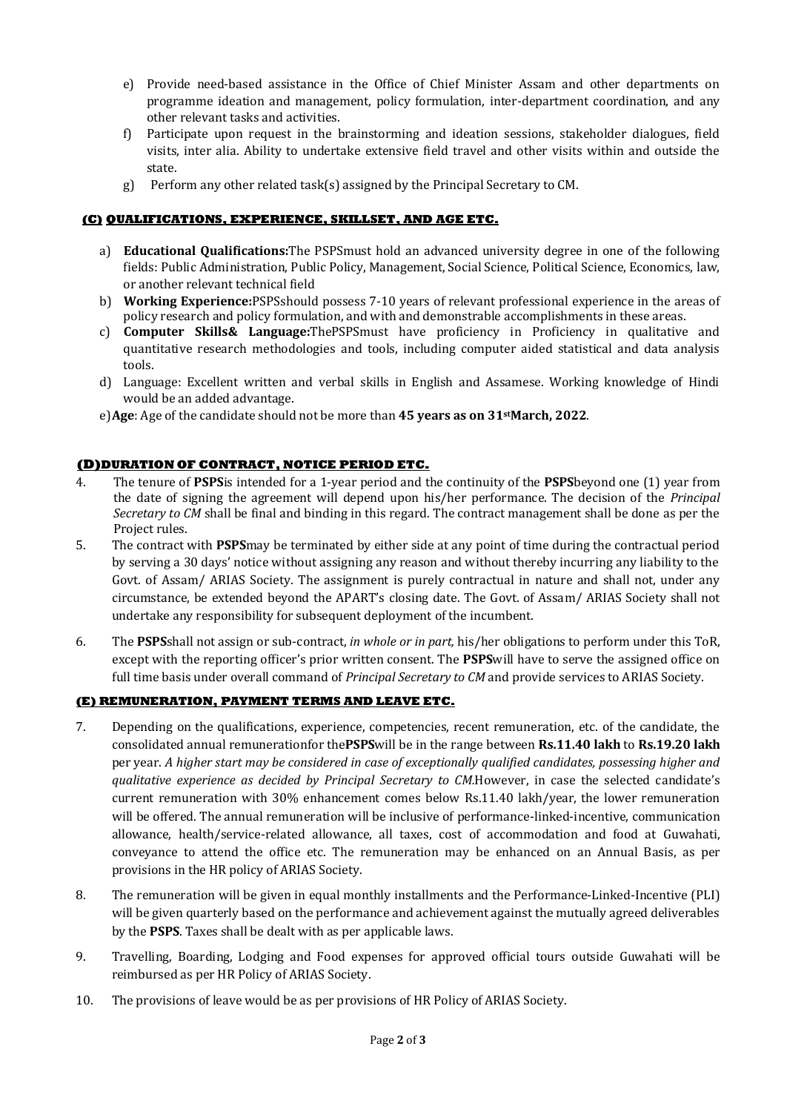- e) Provide need-based assistance in the Office of Chief Minister Assam and other departments on programme ideation and management, policy formulation, inter-department coordination, and any other relevant tasks and activities.
- f) Participate upon request in the brainstorming and ideation sessions, stakeholder dialogues, field visits, inter alia. Ability to undertake extensive field travel and other visits within and outside the state.
- g) Perform any other related task(s) assigned by the Principal Secretary to CM.

# **(C) QUALIFICATIONS, EXPERIENCE, SKILLSET, AND AGE ETC.**

- a) **Educational Qualifications:**The PSPSmust hold an advanced university degree in one of the following fields: Public Administration, Public Policy, Management, Social Science, Political Science, Economics, law, or another relevant technical field
- b) **Working Experience:**PSPSshould possess 7-10 years of relevant professional experience in the areas of policy research and policy formulation, and with and demonstrable accomplishments in these areas.
- c) **Computer Skills& Language:**ThePSPSmust have proficiency in Proficiency in qualitative and quantitative research methodologies and tools, including computer aided statistical and data analysis tools.
- d) Language: Excellent written and verbal skills in English and Assamese. Working knowledge of Hindi would be an added advantage.
- e)**Age**: Age of the candidate should not be more than **45 years as on 31stMarch, 2022**.

## **(D)DURATION OF CONTRACT, NOTICE PERIOD ETC.**

- 4. The tenure of **PSPS**is intended for a 1-year period and the continuity of the **PSPS**beyond one (1) year from the date of signing the agreement will depend upon his/her performance. The decision of the *Principal Secretary to CM* shall be final and binding in this regard. The contract management shall be done as per the Project rules.
- 5. The contract with **PSPS**may be terminated by either side at any point of time during the contractual period by serving a 30 days' notice without assigning any reason and without thereby incurring any liability to the Govt. of Assam/ ARIAS Society. The assignment is purely contractual in nature and shall not, under any circumstance, be extended beyond the APART's closing date. The Govt. of Assam/ ARIAS Society shall not undertake any responsibility for subsequent deployment of the incumbent.
- 6. The **PSPS**shall not assign or sub-contract, *in whole or in part,* his/her obligations to perform under this ToR, except with the reporting officer's prior written consent. The **PSPS**will have to serve the assigned office on full time basis under overall command of *Principal Secretary to CM* and provide services to ARIAS Society.

### **(E) REMUNERATION, PAYMENT TERMS AND LEAVE ETC.**

- 7. Depending on the qualifications, experience, competencies, recent remuneration, etc. of the candidate, the consolidated annual remunerationfor the**PSPS**will be in the range between **Rs.11.40 lakh** to **Rs.19.20 lakh** per year. *A higher start may be considered in case of exceptionally qualified candidates, possessing higher and qualitative experience as decided by Principal Secretary to CM.*However, in case the selected candidate's current remuneration with 30% enhancement comes below Rs.11.40 lakh/year, the lower remuneration will be offered. The annual remuneration will be inclusive of performance-linked-incentive, communication allowance, health/service-related allowance, all taxes, cost of accommodation and food at Guwahati, conveyance to attend the office etc. The remuneration may be enhanced on an Annual Basis, as per provisions in the HR policy of ARIAS Society.
- 8. The remuneration will be given in equal monthly installments and the Performance-Linked-Incentive (PLI) will be given quarterly based on the performance and achievement against the mutually agreed deliverables by the **PSPS**. Taxes shall be dealt with as per applicable laws.
- 9. Travelling, Boarding, Lodging and Food expenses for approved official tours outside Guwahati will be reimbursed as per HR Policy of ARIAS Society.
- 10. The provisions of leave would be as per provisions of HR Policy of ARIAS Society.